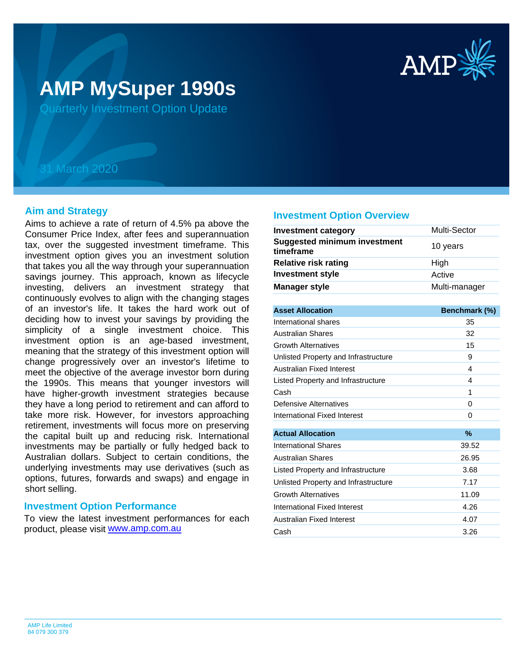

# **AMP MySuper 1990s**

Quarterly Investment Option Update

## 31 March 2020

#### **Aim and Strategy**

Aims to achieve a rate of return of 4.5% pa above the Consumer Price Index, after fees and superannuation tax, over the suggested investment timeframe. This investment option gives you an investment solution that takes you all the way through your superannuation savings journey. This approach, known as lifecycle investing, delivers an investment strategy that continuously evolves to align with the changing stages of an investor's life. It takes the hard work out of deciding how to invest your savings by providing the simplicity of a single investment choice. This investment option is an age-based investment, meaning that the strategy of this investment option will change progressively over an investor's lifetime to meet the objective of the average investor born during the 1990s. This means that younger investors will have higher-growth investment strategies because they have a long period to retirement and can afford to take more risk. However, for investors approaching retirement, investments will focus more on preserving the capital built up and reducing risk. International investments may be partially or fully hedged back to Australian dollars. Subject to certain conditions, the underlying investments may use derivatives (such as options, futures, forwards and swaps) and engage in short selling.

#### **Investment Option Performance**

product, please visit **[www.amp.com.au](https://www.amp.com.au)** To view the latest investment performances for each

#### **Investment Option Overview**

| <b>Investment category</b>                       | Multi-Sector  |
|--------------------------------------------------|---------------|
| <b>Suggested minimum investment</b><br>timeframe | 10 years      |
| <b>Relative risk rating</b>                      | High          |
| <b>Investment style</b>                          | Active        |
| <b>Manager style</b>                             | Multi-manager |
|                                                  |               |

| <b>Asset Allocation</b>              | Benchmark (%) |
|--------------------------------------|---------------|
| International shares                 | 35            |
| <b>Australian Shares</b>             | 32            |
| <b>Growth Alternatives</b>           | 15            |
| Unlisted Property and Infrastructure | 9             |
| Australian Fixed Interest            | 4             |
| Listed Property and Infrastructure   | 4             |
| Cash                                 | 1             |
| Defensive Alternatives               | 0             |
| International Fixed Interest         | 0             |
|                                      |               |
| <b>Actual Allocation</b>             | $\%$          |
| International Shares                 | 39.52         |
| Australian Shares                    | 26.95         |
| Listed Property and Infrastructure   | 3.68          |
| Unlisted Property and Infrastructure | 7.17          |
| <b>Growth Alternatives</b>           | 11.09         |
| International Fixed Interest         | 4.26          |
| Australian Fixed Interest            | 4.07          |
| Cash                                 | 3.26          |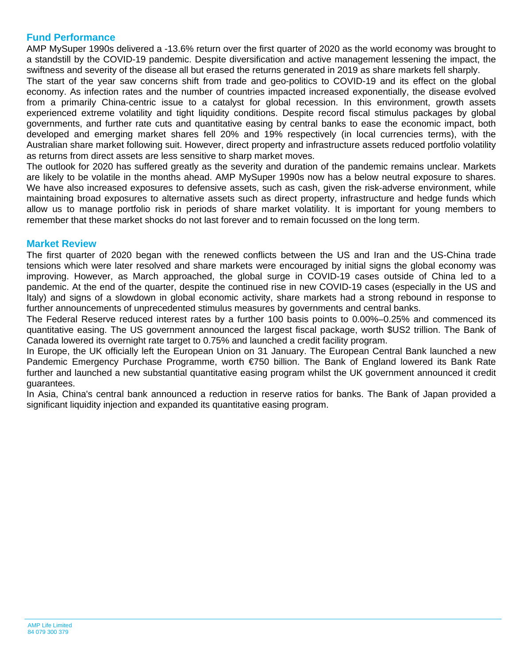### **Fund Performance**

AMP MySuper 1990s delivered a -13.6% return over the first quarter of 2020 as the world economy was brought to a standstill by the COVID-19 pandemic. Despite diversification and active management lessening the impact, the swiftness and severity of the disease all but erased the returns generated in 2019 as share markets fell sharply.

The start of the year saw concerns shift from trade and geo-politics to COVID-19 and its effect on the global economy. As infection rates and the number of countries impacted increased exponentially, the disease evolved from a primarily China-centric issue to a catalyst for global recession. In this environment, growth assets experienced extreme volatility and tight liquidity conditions. Despite record fiscal stimulus packages by global governments, and further rate cuts and quantitative easing by central banks to ease the economic impact, both developed and emerging market shares fell 20% and 19% respectively (in local currencies terms), with the Australian share market following suit. However, direct property and infrastructure assets reduced portfolio volatility as returns from direct assets are less sensitive to sharp market moves.

The outlook for 2020 has suffered greatly as the severity and duration of the pandemic remains unclear. Markets are likely to be volatile in the months ahead. AMP MySuper 1990s now has a below neutral exposure to shares. We have also increased exposures to defensive assets, such as cash, given the risk-adverse environment, while maintaining broad exposures to alternative assets such as direct property, infrastructure and hedge funds which allow us to manage portfolio risk in periods of share market volatility. It is important for young members to remember that these market shocks do not last forever and to remain focussed on the long term.

#### **Market Review**

The first quarter of 2020 began with the renewed conflicts between the US and Iran and the US-China trade tensions which were later resolved and share markets were encouraged by initial signs the global economy was improving. However, as March approached, the global surge in COVID-19 cases outside of China led to a pandemic. At the end of the quarter, despite the continued rise in new COVID-19 cases (especially in the US and Italy) and signs of a slowdown in global economic activity, share markets had a strong rebound in response to further announcements of unprecedented stimulus measures by governments and central banks.

The Federal Reserve reduced interest rates by a further 100 basis points to 0.00%–0.25% and commenced its quantitative easing. The US government announced the largest fiscal package, worth \$US2 trillion. The Bank of Canada lowered its overnight rate target to 0.75% and launched a credit facility program.

In Europe, the UK officially left the European Union on 31 January. The European Central Bank launched a new Pandemic Emergency Purchase Programme, worth €750 billion. The Bank of England lowered its Bank Rate further and launched a new substantial quantitative easing program whilst the UK government announced it credit guarantees.

In Asia, China's central bank announced a reduction in reserve ratios for banks. The Bank of Japan provided a significant liquidity injection and expanded its quantitative easing program.